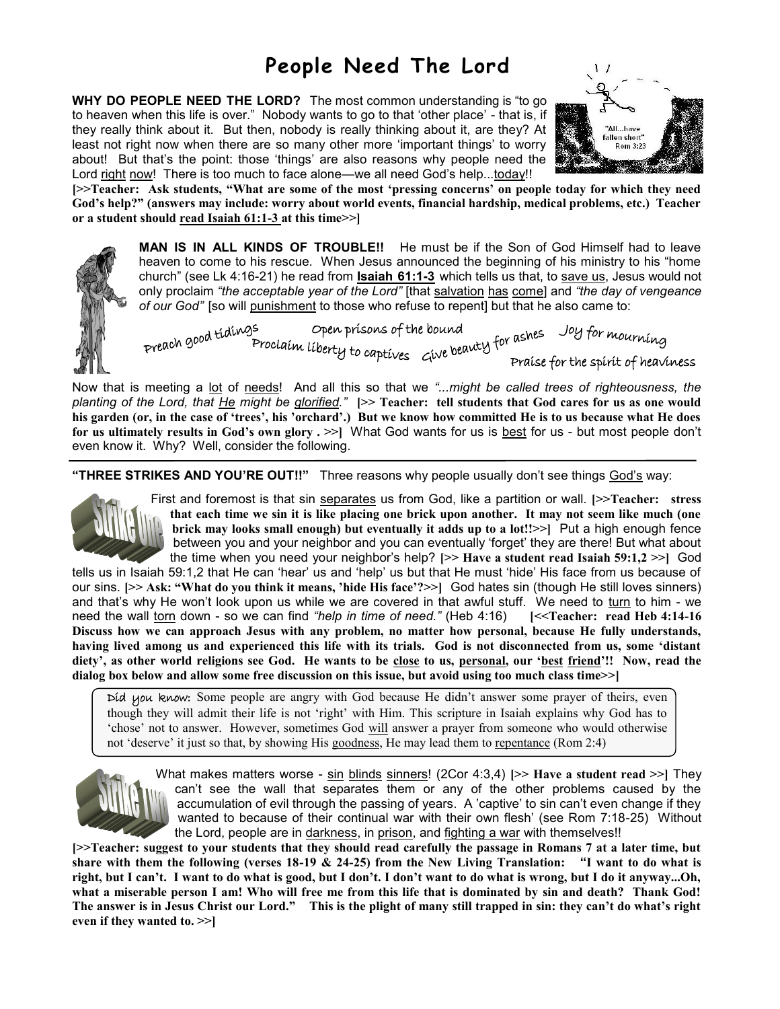## **People Need The Lord**

**WHY DO PEOPLE NEED THE LORD?** The most common understanding is "to go to heaven when this life is over." Nobody wants to go to that 'other place' - that is, if they really think about it. But then, nobody is really thinking about it, are they? At least not right now when there are so many other more 'important things' to worry about! But that's the point: those 'things' are also reasons why people need the Lord right now! There is too much to face alone—we all need God's help...today!!



**[>>Teacher: Ask students, "What are some of the most 'pressing concerns' on people today for which they need God's help?" (answers may include: worry about world events, financial hardship, medical problems, etc.) Teacher or a student should read Isaiah 61:1-3 at this time>>]**

> **MAN IS IN ALL KINDS OF TROUBLE!!** He must be if the Son of God Himself had to leave heaven to come to his rescue. When Jesus announced the beginning of his ministry to his "home church" (see Lk 4:16-21) he read from **Isaiah 61:1-3** which tells us that, to save us, Jesus would not only proclaim *"the acceptable year of the Lord"* [that salvation has come] and *"the day of vengeance of our God"* [so will punishment to those who refuse to repent] but that he also came to:

preach good tidings open prisons of the bound<br>Proclaim liberty to captives Give beauty for ashes Joy for mourning Praise for the spirit of heaviness

Now that is meeting a lot of needs! And all this so that we *"...might be called trees of righteousness, the planting of the Lord, that He might be glorified."* **[>> Teacher: tell students that God cares for us as one would his garden (or, in the case of 'trees', his 'orchard'.) But we know how committed He is to us because what He does for us ultimately results in God's own glory . >>]** What God wants for us is best for us - but most people don't even know it. Why? Well, consider the following.

**"THREE STRIKES AND YOU'RE OUT!!"** Three reasons why people usually don't see things God's way:



First and foremost is that sin separates us from God, like a partition or wall. **[>>Teacher: stress that each time we sin it is like placing one brick upon another. It may not seem like much (one brick may looks small enough) but eventually it adds up to a lot!!>>]** Put a high enough fence between you and your neighbor and you can eventually 'forget' they are there! But what about the time when you need your neighbor's help? **[>> Have a student read Isaiah 59:1,2 >>]** God

tells us in Isaiah 59:1,2 that He can 'hear' us and 'help' us but that He must 'hide' His face from us because of our sins. **[>> Ask: "What do you think it means, 'hide His face'?>>]** God hates sin (though He still loves sinners) and that's why He won't look upon us while we are covered in that awful stuff. We need to turn to him - we need the wall torn down - so we can find *"help in time of need."* (Heb 4:16) **[<<Teacher: read Heb 4:14-16 Discuss how we can approach Jesus with any problem, no matter how personal, because He fully understands, having lived among us and experienced this life with its trials. God is not disconnected from us, some 'distant diety', as other world religions see God. He wants to be close to us, personal, our 'best friend'!! Now, read the dialog box below and allow some free discussion on this issue, but avoid using too much class time>>]**

Did you know: Some people are angry with God because He didn't answer some prayer of theirs, even though they will admit their life is not 'right' with Him. This scripture in Isaiah explains why God has to 'chose' not to answer. However, sometimes God will answer a prayer from someone who would otherwise not 'deserve' it just so that, by showing His goodness, He may lead them to repentance (Rom 2:4)



What makes matters worse - sin blinds sinners! (2Cor 4:3,4) [>> Have a student read >>] They can't see the wall that separates them or any of the other problems caused by the accumulation of evil through the passing of years. A 'captive' to sin can't even change if they wanted to because of their continual war with their own flesh' (see Rom 7:18-25) Without the Lord, people are in darkness, in prison, and fighting a war with themselves!!

**[>>Teacher: suggest to your students that they should read carefully the passage in Romans 7 at a later time, but share with them the following (verses 18-19 & 24-25) from the New Living Translation: "I want to do what is right, but I can't. I want to do what is good, but I don't. I don't want to do what is wrong, but I do it anyway...Oh, what a miserable person I am! Who will free me from this life that is dominated by sin and death? Thank God! The answer is in Jesus Christ our Lord." This is the plight of many still trapped in sin: they can't do what's right even if they wanted to. >>]**